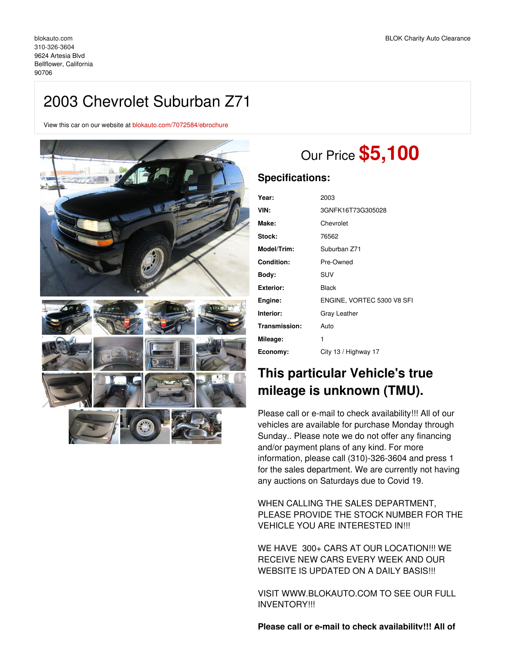# 2003 Chevrolet Suburban Z71

View this car on our website at [blokauto.com/7072584/ebrochure](https://blokauto.com/vehicle/7072584/2003-chevrolet-suburban-z71-bellflower-california-90706/7072584/ebrochure)



# Our Price **\$5,100**

### **Specifications:**

| Year:             | 2003                       |
|-------------------|----------------------------|
| VIN:              | 3GNFK16T73G305028          |
| Make:             | Chevrolet                  |
| Stock:            | 76562                      |
| Model/Trim:       | Suburban Z71               |
| <b>Condition:</b> | Pre-Owned                  |
| Bodv:             | <b>SUV</b>                 |
| Exterior:         | Black                      |
| Engine:           | ENGINE, VORTEC 5300 V8 SFI |
| Interior:         | Gray Leather               |
| Transmission:     | Auto                       |
| Mileage:          | 1                          |
| Economy:          | City 13 / Highway 17       |

## **This particular Vehicle's true mileage is unknown (TMU).**

Please call or e-mail to check availability!!! All of our vehicles are available for purchase Monday through Sunday.. Please note we do not offer any financing and/or payment plans of any kind. For more information, please call (310)-326-3604 and press 1 for the sales department. We are currently not having any auctions on Saturdays due to Covid 19.

WHEN CALLING THE SALES DEPARTMENT, PLEASE PROVIDE THE STOCK NUMBER FOR THE VEHICLE YOU ARE INTERESTED IN!!!

WE HAVE 300+ CARS AT OUR LOCATION!!! WE RECEIVE NEW CARS EVERY WEEK AND OUR WEBSITE IS UPDATED ON A DAILY BASIS!!!

VISIT WWW.BLOKAUTO.COM TO SEE OUR FULL INVENTORY!!!

**Please call or e-mail to check availability!!! All of**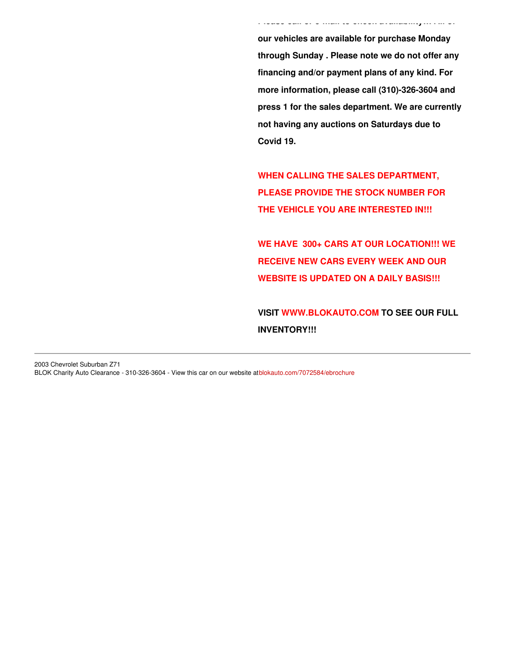**our vehicles are available for purchase Monday through Sunday . Please note we do not offer any financing and/or payment plans of any kind. For more information, please call (310)-326-3604 and press 1 for the sales department. We are currently not having any auctions on Saturdays due to Covid 19.**

**Please call or e-mail to check availability!!! All of**

**WHEN CALLING THE SALES DEPARTMENT, PLEASE PROVIDE THE STOCK NUMBER FOR THE VEHICLE YOU ARE INTERESTED IN!!!**

**WE HAVE 300+ CARS AT OUR LOCATION!!! WE RECEIVE NEW CARS EVERY WEEK AND OUR WEBSITE IS UPDATED ON A DAILY BASIS!!!**

**VISIT [WWW.BLOKAUTO.COM](http://www.blockauto.com) TO SEE OUR FULL INVENTORY!!!**

2003 Chevrolet Suburban Z71 BLOK Charity Auto Clearance - 310-326-3604 - View this car on our website at[blokauto.com/7072584/ebrochure](https://blokauto.com/vehicle/7072584/2003-chevrolet-suburban-z71-bellflower-california-90706/7072584/ebrochure)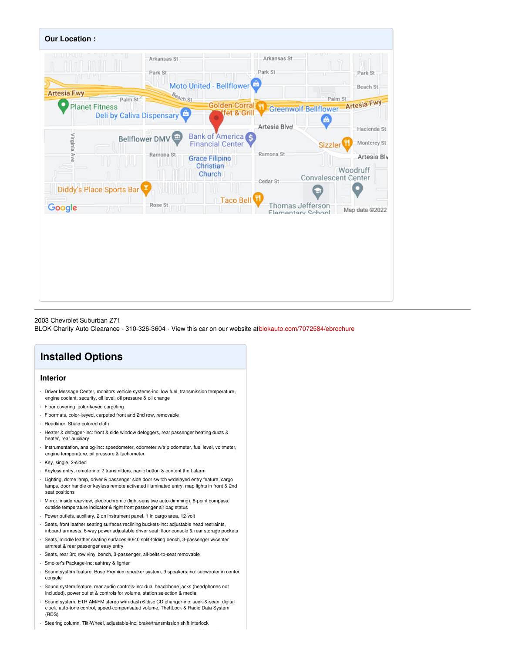

#### 2003 Chevrolet Suburban Z71

BLOK Charity Auto Clearance - 310-326-3604 - View this car on our website at[blokauto.com/7072584/ebrochure](https://blokauto.com/vehicle/7072584/2003-chevrolet-suburban-z71-bellflower-california-90706/7072584/ebrochure)

## **Installed Options**

#### **Interior**

- Driver Message Center, monitors vehicle systems-inc: low fuel, transmission temperature, engine coolant, security, oil level, oil pressure & oil change
- Floor covering, color-keyed carpeting
- Floormats, color-keyed, carpeted front and 2nd row, removable
- Headliner, Shale-colored cloth
- Heater & defogger-inc: front & side window defoggers, rear passenger heating ducts & heater, rear auxiliary
- Instrumentation, analog-inc: speedometer, odometer w/trip odometer, fuel level, voltmeter, engine temperature, oil pressure & tachometer
- Key, single, 2-sided
- Keyless entry, remote-inc: 2 transmitters, panic button & content theft alarm
- Lighting, dome lamp, driver & passenger side door switch w/delayed entry feature, cargo lamps, door handle or keyless remote activated illuminated entry, map lights in front & 2nd seat positions
- Mirror, inside rearview, electrochromic (light-sensitive auto-dimming), 8-point compass, outside temperature indicator & right front passenger air bag status
- Power outlets, auxiliary, 2 on instrument panel, 1 in cargo area, 12-volt
- Seats, front leather seating surfaces reclining buckets-inc: adjustable head restraints, inboard armrests, 6-way power adjustable driver seat, floor console & rear storage pockets
- Seats, middle leather seating surfaces 60/40 split-folding bench, 3-passenger w/center
- armrest & rear passenger easy entry
- Seats, rear 3rd row vinyl bench, 3-passenger, all-belts-to-seat removable
- Smoker's Package-inc: ashtray & lighter
- Sound system feature, Bose Premium speaker system, 9 speakers-inc: subwoofer in center console
- Sound system feature, rear audio controls-inc: dual headphone jacks (headphones not included), power outlet & controls for volume, station selection & media
- Sound system, ETR AM/FM stereo w/in-dash 6-disc CD changer-inc: seek-&-scan, digital clock, auto-tone control, speed-compensated volume, TheftLock & Radio Data System (RDS)
- Steering column, Tilt-Wheel, adjustable-inc: brake/transmission shift interlock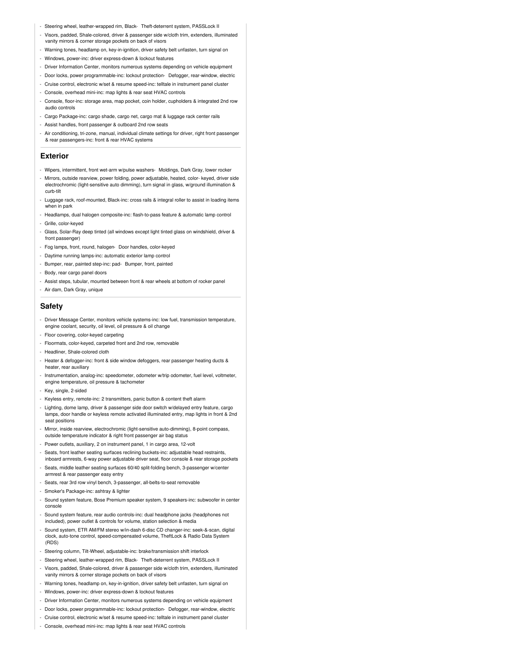- Steering wheel, leather-wrapped rim, Black- Theft-deterrent system, PASSLock II
- Visors, padded, Shale-colored, driver & passenger side w/cloth trim, extenders, illuminated vanity mirrors & corner storage pockets on back of visors
- Warning tones, headlamp on, key-in-ignition, driver safety belt unfasten, turn signal on
- Windows, power-inc: driver express-down & lockout features
- Driver Information Center, monitors numerous systems depending on vehicle equipment
- Door locks, power programmable-inc: lockout protection- Defogger, rear-window, electric
- Cruise control, electronic w/set & resume speed-inc: telltale in instrument panel cluster
- Console, overhead mini-inc: map lights & rear seat HVAC controls
- Console, floor-inc: storage area, map pocket, coin holder, cupholders & integrated 2nd row audio controls
- Cargo Package-inc: cargo shade, cargo net, cargo mat & luggage rack center rails
- Assist handles, front passenger & outboard 2nd row seats
- Air conditioning, tri-zone, manual, individual climate settings for driver, right front passenger & rear passengers-inc: front & rear HVAC systems

#### **Exterior**

- Wipers, intermittent, front wet-arm w/pulse washers- Moldings, Dark Gray, lower rocker
- Mirrors, outside rearview, power folding, power adjustable, heated, color- keyed, driver side electrochromic (light-sensitive auto dimming), turn signal in glass, w/ground illumination & curb-tilt
- Luggage rack, roof-mounted, Black-inc: cross rails & integral roller to assist in loading items when in park
- Headlamps, dual halogen composite-inc: flash-to-pass feature & automatic lamp control
- Grille, color-keyed
- Glass, Solar-Ray deep tinted (all windows except light tinted glass on windshield, driver & front passenger<sup>'</sup>
- Fog lamps, front, round, halogen- Door handles, color-keyed
- Daytime running lamps-inc: automatic exterior lamp control
- Bumper, rear, painted step-inc: pad- Bumper, front, painted
- Body, rear cargo panel doors
- Assist steps, tubular, mounted between front & rear wheels at bottom of rocker panel
- Air dam, Dark Gray, unique

#### **Safety**

- Driver Message Center, monitors vehicle systems-inc: low fuel, transmission temperature, engine coolant, security, oil level, oil pressure & oil change
- Floor covering, color-keyed carpeting
- Floormats, color-keyed, carpeted front and 2nd row, removable
- Headliner, Shale-colored cloth
- Heater & defogger-inc: front & side window defoggers, rear passenger heating ducts & heater, rear auxiliary
- Instrumentation, analog-inc: speedometer, odometer w/trip odometer, fuel level, voltmeter, engine temperature, oil pressure & tachometer
- Key, single, 2-sided
- Keyless entry, remote-inc: 2 transmitters, panic button & content theft alarm
- Lighting, dome lamp, driver & passenger side door switch w/delayed entry feature, cargo lamps, door handle or keyless remote activated illuminated entry, map lights in front & 2nd seat positions
- Mirror, inside rearview, electrochromic (light-sensitive auto-dimming), 8-point compass, outside temperature indicator & right front passenger air bag status
- Power outlets, auxiliary, 2 on instrument panel, 1 in cargo area, 12-volt
- Seats, front leather seating surfaces reclining buckets-inc: adjustable head restraints, inboard armrests, 6-way power adjustable driver seat, floor console & rear storage pockets
- Seats, middle leather seating surfaces 60/40 split-folding bench, 3-passenger w/center armrest & rear passenger easy entry
- Seats, rear 3rd row vinyl bench, 3-passenger, all-belts-to-seat removable
- Smoker's Package-inc: ashtray & lighter
- Sound system feature, Bose Premium speaker system, 9 speakers-inc: subwoofer in center console
- Sound system feature, rear audio controls-inc: dual headphone jacks (headphones not included), power outlet & controls for volume, station selection & media
- Sound system, ETR AM/FM stereo w/in-dash 6-disc CD changer-inc: seek-&-scan, digital clock, auto-tone control, speed-compensated volume, TheftLock & Radio Data System (RDS)
- Steering column, Tilt-Wheel, adjustable-inc: brake/transmission shift interlock
- Steering wheel, leather-wrapped rim, Black- Theft-deterrent system, PASSLock II
- Visors, padded, Shale-colored, driver & passenger side w/cloth trim, extenders, illuminated vanity mirrors & corner storage pockets on back of visors
- Warning tones, headlamp on, key-in-ignition, driver safety belt unfasten, turn signal on
- Windows, power-inc: driver express-down & lockout features
- Driver Information Center, monitors numerous systems depending on vehicle equipment
- Door locks, power programmable-inc: lockout protection- Defogger, rear-window, electric
- Cruise control, electronic w/set & resume speed-inc: telltale in instrument panel cluster
- Console, overhead mini-inc: map lights & rear seat HVAC controls